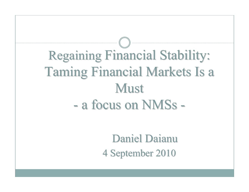# Regaining Financial Stability: Taming Financial Markets Is a Must<br>A focus on N a focus on NMSs -

Daniel Daianu4 September 2010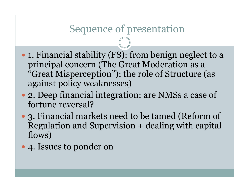#### Sequence of presentation

- 1. Financial stability (FS): from benign neglect to a principal concern (The Great Moderation as a "Great Misperception"); the role of Structure (as against policy weaknesses)
- 2. Deep financial integration: are NMSs a case of fortune reversal?
- 3. Financial markets need to be tamed (Reform of Regulation and Supervision + dealing with capital flows)
- 4. Issues to ponder on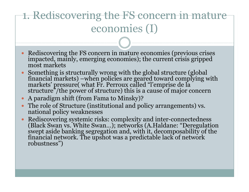## 1. Rediscovering the FS concern in mature economies (I)

- Rediscovering the FS concern in mature economies (previous crises impacted, mainly, emerging economies); the current crisis gripped most markets
- $\bullet$  Something is financial markets) –when policies are geared toward complying with<br>markets' pressure( what Fr. Perroux called "l'emprise de la<br>structure"/the power of structure) this is a cause of major concern
- $\bullet$ A paradigm shift (from Fama to Minsky)?
- The role of Structure (institutional and policy arrangements) vs. national policy weaknesses $\bullet$
- Rediscovering systemic risks: complexity and inter-connectedness  $\bullet$ (Black Swan vs. White Swan...); networks (A.Haldane: "Deregulation swept aside banking segregation and, with it, decomposability of the financial network. The upshot was a predictable lack of network robustness")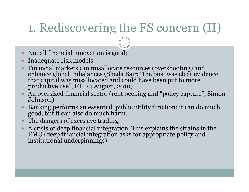# 1. Rediscovering the FS concern (II)

- Not all financial innovation is good;
- $\bullet$
- Inadequate risk models<br>Financial markets can misallocate resources (overshooting) and  $\bullet$ enhance global imbalances (Sheila Bair: "the bust was clear evidence that capital was misallocated and could have been put to more productive use", FT, 24 August, 2010)
- An oversized financial sector (rent-seeking and "policy capture", Simon Johnson)
- Banking performs an essential public utility function; it can do much good, but it can also do much harm… $\bullet$
- $\bullet$ The dangers of excessive trading;
- $\bullet$ A crisis of deep financial integration. This explains the strains in the EMU (deep financial integration asks for appropriate policy and institutional underpinnings)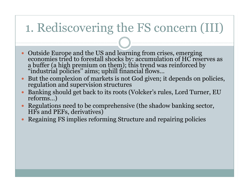## 1. Rediscovering the FS concern (III)

- $\bullet$ Outside Europe and the US and learning from crises, emerging<br>economies tried to forestall shocks by: accumulation of HC reserves as<br>a buffer (a high premium on them); this trend was reinforced by<br>"industrial policies" aims
- $\bullet$ But the complexion of markets is not God given; it depends on policies, regulation and supervision structures
- Banking should get back to its roots (Volcker's rules, Lord Turner, EU reforms…) $\bullet$
- Regulations need to be comprehensive (the shadow banking sector, HFs and PEFs, derivatives) $\bullet$
- Regaining FS implies reforming Structure and repairing policies $\bullet$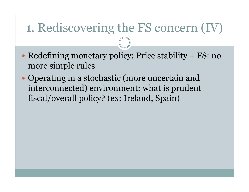## 1. Rediscovering the FS concern (IV)

- Redefining monetary policy: Price stability + FS: no more simple rules
- Operating in a stochastic (more uncertain and interconnected) environment: what is prudent fiscal/overall policy? (ex: Ireland, Spain)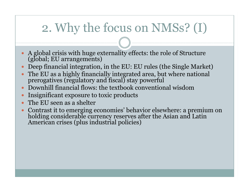## 2. Why the focus on NMSs? (I)

- $\bullet$ A global crisis with huge externality effects: the role of Structure (global; EU arrangements)
- Deep financial integration, in the EU: EU rules (the Single Market)  $\bullet$
- $\bullet$ The EU as a highly financially integrated area, but where national prerogatives (regulatory and fiscal) stay powerful
- Downhill financial flows: the textbook conventional wisdom $\bullet$
- $\bullet$ Insignificant exposure to toxic products
- $\bullet$
- The EU seen as a shelter<br>Contrast it to emerging economies' behavior elsewhere: a premium on  $\bullet$ holding considerable currency reserves after the Asian and Latin American crises (plus industrial policies)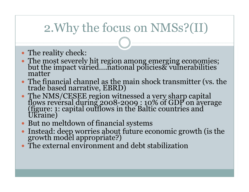## 2.Why the focus on NMSs?(II)

- The reality check:
- The most severely hit region among emerging economies; but the impact varied….national policies& vulnerabilities matter
- The financial channel as the main shock transmitter (vs. the trade based narrative, EBRD)
- The NMS/CESEE region witnessed a very sharp capital flows reversal during 2008-2009 : 10% of GDP on average (figure: 1: capital outflows in the Baltic countries and Ukraine)
- But no meltdown of financial systems
- $\bullet$ Instead: deep worries about future economic growth (is the growth model appropriate?)
- The external environment and debt stabilization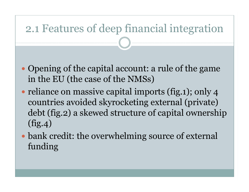# 2.1 Features of deep financial integration

- Opening of the capital account: a rule of the game in the EU (the case of the NMSs)
- reliance on massive capital imports (fig.1); only 4 countries avoided skyrocketing external (private) debt (fig.2) a skewed structure of capital ownership (fig.4)
- bank credit: the overwhelming source of external funding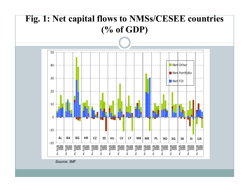

*Source: IMF*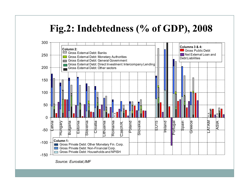#### **Fig.2: Indebtedness (% of GDP), 2008**



*Source: Eurostat,IMF*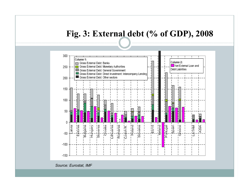#### **Fig. 3: External debt (% of GDP), 2008**



*Source: Eurostat, IMF*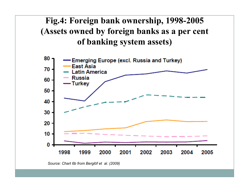#### **Fig.4: Foreign bank ownership, 1998-2005 (Assets owned by foreign banks as a per cent of banking system assets)**



*Source: Chart 6b from Berglöf et al. (2009)*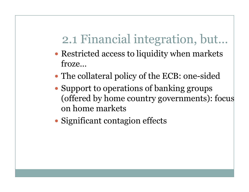# 2.1 Financial integration, but…

- Restricted access to liquidity when markets froze…
- The collateral policy of the ECB: one-sided
- Support to operations of banking groups (offered by home country governments): focus on home markets
- Significant contagion effects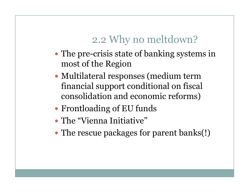#### 2.2 Why no meltdown?

- The pre-crisis state of banking systems in most of the Region
- Multilateral responses (medium term financial support conditional on fiscal consolidation and economic reforms)
- Frontloading of EU funds
- The "Vienna Initiative"
- The rescue packages for parent banks(!)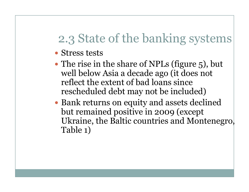## 2.3 State of the banking systems

- Stress tests
- The rise in the share of NPLs (figure 5), but well below Asia a decade ago (it does not reflect the extent of bad loans since rescheduled debt may not be included)
- Bank returns on equity and assets declined but remained positive in 2009 (except Ukraine, the Baltic countries and Montenegro, Table 1)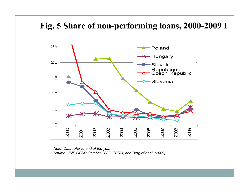#### **Fig. 5 Share of non-performing loans, 2000-2009 <sup>I</sup>**



*Note: Data refer to end of the year Source: IMF GFSR October 2009, EBRD, and Berglöf et al. (2009)*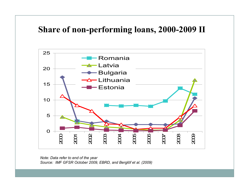#### **Share of non-performing loans, 2000-2009 II**



*Note: Data refer to end of the year Source: IMF GFSR October 2009, EBRD, and Berglöf et al. (2009)*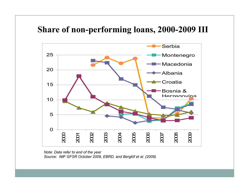#### **Share of non-performing loans, 2000-2009 III**



*Note: Data refer to end of the year Source: IMF GFSR October 2009, EBRD, and Berglöf et al. (2009)*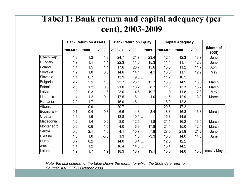#### **Tabel 1: Bank return and capital adequacy (per cent), 2003-2009**

|                | <b>Bank Return on Assets</b> |        |        |         | <b>Bank Return on Equity</b> |         | <b>Capital Adequacy</b> |      |      |                    |
|----------------|------------------------------|--------|--------|---------|------------------------------|---------|-------------------------|------|------|--------------------|
|                | 2003-07                      | 2008   | 2009   | 2003-07 | 2008                         | 2009    | 2003-07                 | 2008 | 2009 | (Month of<br>2009) |
| Czech Rep.     | 1.3                          | 1.2    | 1.3    | 24.7    | 21.7                         | 23.4    | 12.4                    | 12.3 | 13.7 | June               |
| <b>Hungary</b> | 1.7                          | 1.1    | 1.1    | 22.3    | 11.6                         | 15.3    | 11.4                    | 11.1 | 12.3 | June               |
| Poland         | 1.4                          | 1.5    | 1.1    | 17.6    | 20.7                         | 15.6    | 13.8                    | 11.2 | 11.7 | April              |
| Slovakia       | 1.2                          | 1.0    | 0.3    | 14.6    | 14.1                         | 4.1     | 16.3                    | 11.1 | 12.2 | May                |
| Slovenia       | 1.1                          | 0.7    |        | 13.9    | 9.0                          |         | 11.2                    | 10.5 |      |                    |
| Bulgaria       | 2.2                          | 2.1    | 1.6    | 22.7    | 23.1                         | 15.7    | 16.5                    | 14.9 | 16.5 | March              |
| Estonia        | 2.0                          | 1.2    | 0.8    | 21.0    | 13.2                         | 8.7     | 11.3                    | 13.3 | 15.2 | March              |
| Latvia         | 1.9                          | 0.3    | $-1.6$ | 23.0    | 4.6                          | $-19.7$ | 11.0                    | 11.8 | 12.8 | May                |
| Lithuania      | 1.4                          | 1.2    | $-0.1$ | 17.5    | 16.1                         | $-1.0$  | 11.5                    | 12.9 | 13.9 | March              |
| Romania        | 2.0                          | 1.7    |        | 16.0    | 18.1                         |         | 18.9                    | 12.3 |      |                    |
| Albania        | 1.4                          | 0.9    |        | 20.7    | 11.4                         |         | 20.8                    | 17.2 |      |                    |
| Bosnia & H.    | 0.7                          | 0.4    | 0.3    | 6.6     | 4.3                          | 3.4     | 18.3                    | 16.3 | 16.3 | March              |
| Croatia        | 1.6                          | 1.6    |        | 13.8    | 10.1                         |         | 15.8                    | 14.5 |      |                    |
| Macedonia      | 1.2                          | 1.4    | 0.2    | 8.0     | 12.5                         | 1.8     | 21.1                    | 16.2 | 16.5 | March              |
| Montenegro     | 0.6                          | $-0.6$ | $-1.5$ | 4.0     | $-6.9$                       | $-17.8$ | 24.4                    | 15.0 | 12.4 | March              |
| Serbia         | 0.6                          | 2.1    | 1.5    | 4.1     | 10.7                         | 7.8     | 27.5                    | 21.9 | 21.2 | June               |
| <b>Ukraine</b> | 1.3                          | 1.0    | $-3.3$ | 1.3     | 1.0                          | $-3.3$  | 15.0                    | 14.0 | 14.5 | June               |
| <b>EU15</b>    | 0.7                          | 0.2    |        | 14.0    | 0.4                          |         | 12.5                    | 12.2 |      |                    |
| Asia           | 1.4                          | 1.2    |        | 16.4    | 14.3                         |         | 15.4                    | 14.2 |      |                    |
| Latam          | 1.9                          | 1.7    | 1.9    | 18.3    | 18.7                         | 19.1    | 15.3                    | 14.6 | 15.5 | mostly May         |

*Note: the last column of the table shows the month for which the 2009 data refer to Source: IMF GFSR October 2009*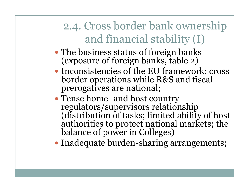## 2.4. Cross border bank ownership and financial stability (I)

- The business status of foreign banks (exposure of foreign banks, table 2)
- Inconsistencies of the EU framework: cross border operations while R&S and fiscal prerogatives are national;
- Tense home- and host country regulators/supervisors relationship<br>(distribution of tasks; limited ability of host<br>authorities to protect national markets; the<br>balance of power in Colleges)
- Inadequate burden-sharing arrangements;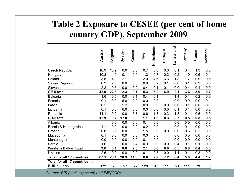#### **Table 2 Exposure to CESEE (per cent of home country GDP), September 2009**

|                                          | Austria | Belgium | Sweden | Greece | <b>Italy</b> | Netherlands | Portugal | Switzerland | Germany | France | Denmark                 |
|------------------------------------------|---------|---------|--------|--------|--------------|-------------|----------|-------------|---------|--------|-------------------------|
| <b>Czech Republic</b>                    | 16.9    | 10.9    | 0.0    | 0.0    | 0.7          | 0.6         | 0.0      | 0.1         | 0.4     | 1.3    | 0.0                     |
| Hungary                                  | 10.3    | 4.0     | 0.1    | 0.0    | 1.3          | 0.7         | 0.2      | 0.2         | 1.0     | 0.5    | 0.1                     |
| Poland                                   | 3.8     | 4.9     | 2.1    | 0.0    | 2.0          | 4.6         | 6.6      | 1.8         | 1.7     | 0.9    | 0.5                     |
| Slovak Republic                          | 8.2     | 2.0     | 0.0    | 0.0    | 0.9          | 0.2         | 0.1      | 0.0         | 0.1     | 0.2    | 0.0                     |
| Slovenia                                 | 2.8     | 0.5     | 0.0    | 0.0    | 0.4          | 0.1         | 0.1      | 0.0         | 0.4     | 0.1    | 0.0                     |
| <b>CE-5 total</b>                        | 42.0    | 22.3    | 2.3    | 0.1    | 5.3          | 6.2         | 6.9      | 2.1         | 3.6     | 3.0    | 0.7                     |
| <b>Bulgaria</b>                          | 1.6     | 0.5     | 0.0    | 3.1    | 0.4          | 0.1         |          | 1.4         | 0.1     | 0.2    | 0.0                     |
| Estonia                                  | 0.1     | 0.0     | 6.6    | 0.0    | 0.0          | 0.0         |          | 0.0         | 0.0     | 0.0    | 0.1                     |
| Latvia                                   | 0.2     | 0.0     | 5.2    | 0.0    | 0.0          | 0.0         | 0.0      | 0.0         | 0.1     | 0.0    | 0.1                     |
| Lithuania                                | 0.1     | 0.0     | 6.0    | 0.0    | 0.0          | 0.0         | 0.0      | 0.1         | 0.1     | 0.0    | 0.2                     |
| Romania                                  | 11.1    | 0.2     | 0.0    | 5.7    | 0.6          | 1.3         | 0.3      | 1.3         | 0.1     | 0.6    | 0.0                     |
| <b>BB-5 total</b>                        | 12.9    | 0.7     | 17.8   | 8.8    | 1.1          | 1.3         | 0.3      | 2.7         | 0.5     | 0.8    | 0.5                     |
| Albania                                  |         | 0.0     | 0.0    | 0.6    | 0.1          | 0.0         |          | 0.0         | 0.0     | 0.0    | 0.0                     |
| Bosnia & Herzegovina                     | 1.1     | 0.0     | 0.0    | 0.0    | 0.2          | 0.0         |          | 0.0         | 0.1     | 0.0    | 0.0                     |
| Croatia                                  | 6.8     | 0.1     | 0.0    | 0.0    | 1.5          | 0.0         | 0.0      | 0.0         | 0.5     | 0.3    | 0.0                     |
| Macedonia                                | 0.1     | 0.0     | 0.0    | 0.5    | 0.0          | 0.0         |          | 0.0         | 0.0     | 0.0    | 0.0                     |
| Montenegro                               | 0.0     | 0.0     | 0.0    | 0.0    | 0.1          | 0.0         |          | 0.0         | 0.0     | 0.0    | 0.0                     |
| Serbia                                   | 1.6     | 0.0     | 0.0    | 1.4    | 0.3          | 0.0         | 0.0      | 0.4         | 0.1     | 0.1    | 0.0                     |
| <b>Western Balkan total</b>              | 9.6     | 0.1     | 0.0    | 2.6    | 2.1          | 0.0         | 0.0      | 0.5         | 0.8     | 0.4    | 0.0                     |
| <b>Ukraine</b>                           | 2.6     | 0.0     | 0.8    | 0.2    | 0.1          | 0.3         | 0.0      | 1.1         | 0.1     | 0.3    | 0.0                     |
| <b>Total for all 17 countries</b>        | 67.1    | 23.1    | 20.9   | 11.6   | 8.6          | 7.9         | 7.2      | 6.4         | 5.0     | 4.4    | 1.2                     |
| Total for all 17 countries in            |         |         |        |        |              |             |          |             |         |        |                         |
| <b>EUR billions</b>                      | 172     | 73      | 57     | 27     | 123          | 43          | 11       | 21          | 111     | 79     | $\overline{\mathbf{3}}$ |
| Source: BIS (bank exposure) and IMF(GDP) |         |         |        |        |              |             |          |             |         |        |                         |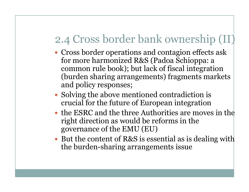#### 2.4 Cross border bank ownership (II)

- Cross border operations and contagion effects ask for more harmonized R&S (Padoa Schioppa: a common rule book); but lack of fiscal integration (burden sharing arrangements) fragments markets and policy responses;
- Solving the above mentioned contradiction is crucial for the future of European integration
- the ESRC and the three Authorities are moves in the right direction as would be reforms in the governance of the EMU (EU)
- But the content of R&S is essential as is dealing with the burden-sharing arrangements issue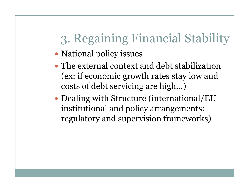# 3. Regaining Financial Stability

- National policy issues
- The external context and debt stabilization (ex: if economic growth rates stay low and costs of debt servicing are high…)
- Dealing with Structure (international/EU institutional and policy arrangements: regulatory and supervision frameworks)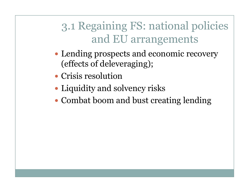## 3.1 Regaining FS: national policies and EU arrangements

- Lending prospects and economic recovery (effects of deleveraging);
- Crisis resolution
- Liquidity and solvency risks
- Combat boom and bust creating lending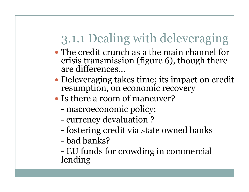# 3.1.1 Dealing with deleveraging

- The credit crunch as a the main channel for crisis transmission (figure 6), though there are differences…
- Deleveraging takes time; its impact on credit resumption, on economic recovery
- Is there a room of maneuver?
	- macroeconomic policy;<br>currency devaluation ?
	- currency devaluation?<br>fostering credit via stat
	- fostering credit via state owned banks
	- bad banks?<br>EIL funds fo
	- EU funds for crowding in commercial lending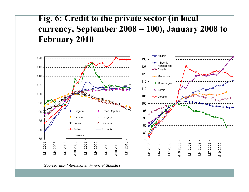#### **Fig. 6: Credit to the private sector (in local currency, September 2008 = 100), January 2008 to February 2010**



*Source: IMF International Financial Statistics*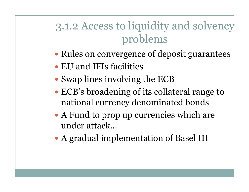## 3.1.2 Access to liquidity and solvency problems

- Rules on convergence of deposit guarantees
- EU and IFIs facilities
- Swap lines involving the ECB
- ECB's broadening of its collateral range to national currency denominated bonds
- A Fund to prop up currencies which are under attack…
- A gradual implementation of Basel III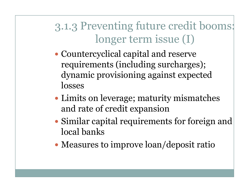3.1.3 Preventing future credit booms: longer term issue (I)

- Countercyclical capital and reserve requirements (including surcharges); dynamic provisioning against expected losses
- Limits on leverage; maturity mismatches and rate of credit expansion
- $\bullet$  Similar capital requirements for foreign and local banks
- Measures to improve loan/deposit ratio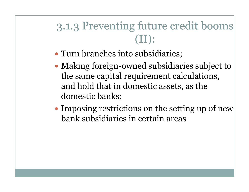3.1.3 Preventing future credit booms (II):

- Turn branches into subsidiaries;
- Making foreign-owned subsidiaries subject to the same capital requirement calculations, and hold that in domestic assets, as the domestic banks;
- Imposing restrictions on the setting up of new bank subsidiaries in certain areas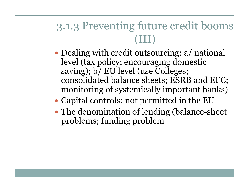#### 3.1.3 Preventing future credit booms (III)

- Dealing with credit outsourcing: a/ national level (tax policy; encouraging domestic saving); b/ EU level (use Colleges; consolidated balance sheets; ESRB and EFC; monitoring of systemically important banks)
- Capital controls: not permitted in the EU
- The denomination of lending (balance-sheet problems; funding problem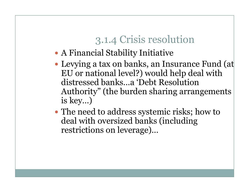#### 3.1.4 Crisis resolution

- A Financial Stability Initiative
- Levying a tax on banks, an Insurance Fund (at EU or national level?) would help deal with distressed banks…a 'Debt Resolution Authority" (the burden sharing arrangements is key…)
- The need to address systemic risks; how to deal with oversized banks (including restrictions on leverage)…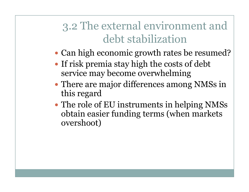#### 3.2 The external environment and debt stabilization

- Can high economic growth rates be resumed?
- If risk premia stay high the costs of debt service may become overwhelming
- There are major differences among NMSs in this regard
- The role of EU instruments in helping NMSs obtain easier funding terms (when markets overshoot)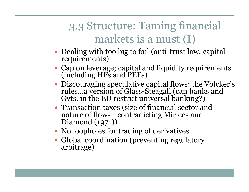## 3.3 Structure: Taming financial markets is a must (I)

- Dealing with too big to fail (anti-trust law; capital requirements)
- Cap on leverage; capital and liquidity requirements (including HFs and PEFs)
- Discouraging speculative capital flows: the Volcker's rules…a version of Glass-Steagall (can banks and Gvts. in the EU restrict universal banking?)
- Transaction taxes (size of financial sector and nature of flows –contradicting Mirlees and Diamond (1971))
- No loopholes for trading of derivatives
- Global coordination (preventing regulatory arbitrage)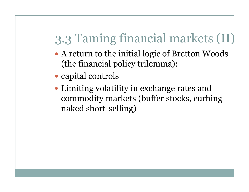# 3.3 Taming financial markets (II)

- A return to the initial logic of Bretton Woods (the financial policy trilemma):
- capital controls
- Limiting volatility in exchange rates and commodity markets (buffer stocks, curbing naked short-selling)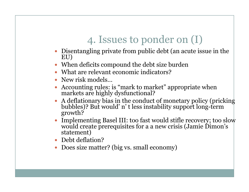#### 4. Issues to ponder on (I)

- Disentangling private from public debt (an acute issue in the EU)
- When deficits compound the debt size burden
- $\bullet$ What are relevant economic indicators?
- New risk models...
- Accounting rules: is "mark to market" appropriate when markets are highly dysfunctional?  $\bullet$
- A deflationary bias in the conduct of monetary policy (pricking bubbles)? But would' <sup>n</sup>' t less instability support long-term growth? $\bullet$
- Implementing Basel III: too fast would stifle recovery; too slow  $\bullet$ would create prerequisites for a a new crisis (Jamie Dimon's statement)
- Debt deflation?
- Does size matter? (big vs. small economy)0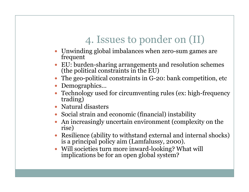#### 4. Issues to ponder on (II)

- Unwinding global imbalances when zero-sum games arefrequent
- EU: burden-sharing arrangements and resolution schemes (the political constraints in the EU)
- The geo-political constraints in G-20: bank competition, etc
- Demographics...
- Technology used for circumventing rules (ex: high-frequency trading)
- Natural disasters
- Social strain and economic (financial) instability
- An increasingly uncertain environment (complexity on the rise) 0
- Resilience (ability to withstand external and internal shocks) is a principal policy aim (Lamfalussy, 2000).
- $\bullet$ Will societies turn more inward-looking? What will implications be for an open global system?